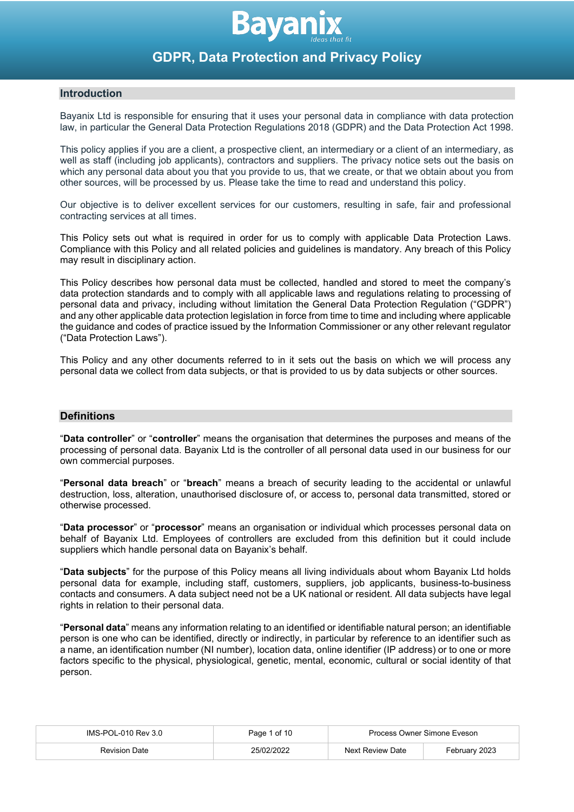

# **Introduction**

Bayanix Ltd is responsible for ensuring that it uses your personal data in compliance with data protection law, in particular the General Data Protection Regulations 2018 (GDPR) and the Data Protection Act 1998.

This policy applies if you are a client, a prospective client, an intermediary or a client of an intermediary, as well as staff (including job applicants), contractors and suppliers. The privacy notice sets out the basis on which any personal data about you that you provide to us, that we create, or that we obtain about you from other sources, will be processed by us. Please take the time to read and understand this policy.

Our objective is to deliver excellent services for our customers, resulting in safe, fair and professional contracting services at all times.

This Policy sets out what is required in order for us to comply with applicable Data Protection Laws. Compliance with this Policy and all related policies and guidelines is mandatory. Any breach of this Policy may result in disciplinary action.

This Policy describes how personal data must be collected, handled and stored to meet the company's data protection standards and to comply with all applicable laws and regulations relating to processing of personal data and privacy, including without limitation the General Data Protection Regulation ("GDPR") and any other applicable data protection legislation in force from time to time and including where applicable the guidance and codes of practice issued by the Information Commissioner or any other relevant regulator ("Data Protection Laws").

This Policy and any other documents referred to in it sets out the basis on which we will process any personal data we collect from data subjects, or that is provided to us by data subjects or other sources.

# **Definitions**

"**Data controller**" or "**controller**" means the organisation that determines the purposes and means of the processing of personal data. Bayanix Ltd is the controller of all personal data used in our business for our own commercial purposes.

"**Personal data breach**" or "**breach**" means a breach of security leading to the accidental or unlawful destruction, loss, alteration, unauthorised disclosure of, or access to, personal data transmitted, stored or otherwise processed.

"**Data processor**" or "**processor**" means an organisation or individual which processes personal data on behalf of Bayanix Ltd. Employees of controllers are excluded from this definition but it could include suppliers which handle personal data on Bayanix's behalf.

"**Data subjects**" for the purpose of this Policy means all living individuals about whom Bayanix Ltd holds personal data for example, including staff, customers, suppliers, job applicants, business-to-business contacts and consumers. A data subject need not be a UK national or resident. All data subjects have legal rights in relation to their personal data.

"**Personal data**" means any information relating to an identified or identifiable natural person; an identifiable person is one who can be identified, directly or indirectly, in particular by reference to an identifier such as a name, an identification number (NI number), location data, online identifier (IP address) or to one or more factors specific to the physical, physiological, genetic, mental, economic, cultural or social identity of that person.

| IMS-POL-010 Rev 3.0  | Page 1 of 10 | Process Owner Simone Eveson |               |
|----------------------|--------------|-----------------------------|---------------|
| <b>Revision Date</b> | 25/02/2022   | Next Review Date            | February 2023 |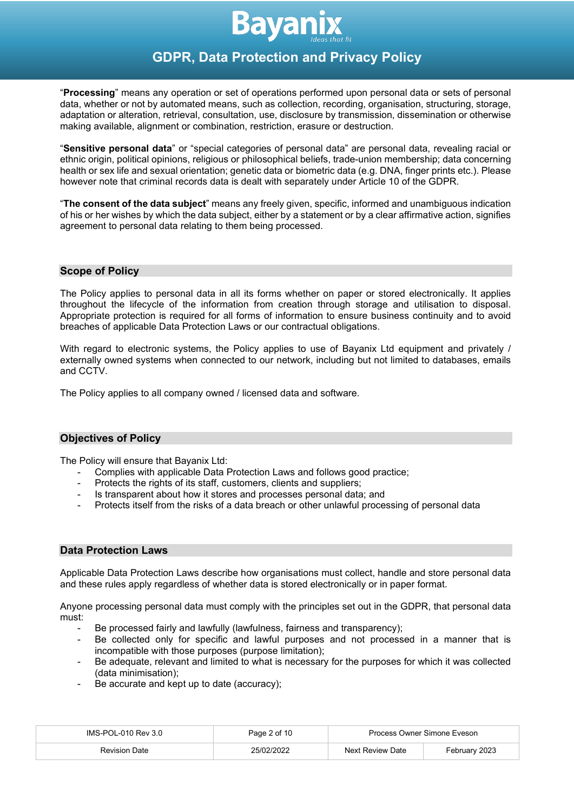

"**Processing**" means any operation or set of operations performed upon personal data or sets of personal data, whether or not by automated means, such as collection, recording, organisation, structuring, storage, adaptation or alteration, retrieval, consultation, use, disclosure by transmission, dissemination or otherwise making available, alignment or combination, restriction, erasure or destruction.

"**Sensitive personal data**" or "special categories of personal data" are personal data, revealing racial or ethnic origin, political opinions, religious or philosophical beliefs, trade-union membership; data concerning health or sex life and sexual orientation; genetic data or biometric data (e.g. DNA, finger prints etc.). Please however note that criminal records data is dealt with separately under Article 10 of the GDPR.

"**The consent of the data subject**" means any freely given, specific, informed and unambiguous indication of his or her wishes by which the data subject, either by a statement or by a clear affirmative action, signifies agreement to personal data relating to them being processed.

#### **Scope of Policy**

The Policy applies to personal data in all its forms whether on paper or stored electronically. It applies throughout the lifecycle of the information from creation through storage and utilisation to disposal. Appropriate protection is required for all forms of information to ensure business continuity and to avoid breaches of applicable Data Protection Laws or our contractual obligations.

With regard to electronic systems, the Policy applies to use of Bayanix Ltd equipment and privately / externally owned systems when connected to our network, including but not limited to databases, emails and CCTV.

The Policy applies to all company owned / licensed data and software.

# **Objectives of Policy**

The Policy will ensure that Bayanix Ltd:

- Complies with applicable Data Protection Laws and follows good practice;
- Protects the rights of its staff, customers, clients and suppliers;
- Is transparent about how it stores and processes personal data; and
- Protects itself from the risks of a data breach or other unlawful processing of personal data

#### **Data Protection Laws**

Applicable Data Protection Laws describe how organisations must collect, handle and store personal data and these rules apply regardless of whether data is stored electronically or in paper format.

Anyone processing personal data must comply with the principles set out in the GDPR, that personal data must:

- Be processed fairly and lawfully (lawfulness, fairness and transparency);
- Be collected only for specific and lawful purposes and not processed in a manner that is incompatible with those purposes (purpose limitation);
- Be adequate, relevant and limited to what is necessary for the purposes for which it was collected (data minimisation);
- Be accurate and kept up to date (accuracy);

| $IMS-POL-010$ Rev $3.0$ | Page 2 of 10 | Process Owner Simone Eveson |               |
|-------------------------|--------------|-----------------------------|---------------|
| <b>Revision Date</b>    | 25/02/2022   | Next Review Date            | February 2023 |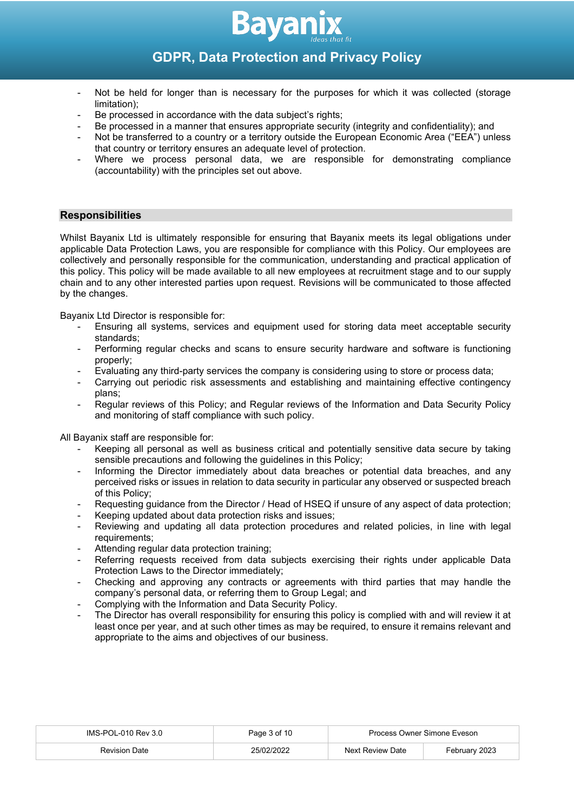

- Not be held for longer than is necessary for the purposes for which it was collected (storage limitation);
- Be processed in accordance with the data subject's rights;
- Be processed in a manner that ensures appropriate security (integrity and confidentiality); and
- Not be transferred to a country or a territory outside the European Economic Area ("EEA") unless that country or territory ensures an adequate level of protection.
- Where we process personal data, we are responsible for demonstrating compliance (accountability) with the principles set out above.

# **Responsibilities**

Whilst Bayanix Ltd is ultimately responsible for ensuring that Bayanix meets its legal obligations under applicable Data Protection Laws, you are responsible for compliance with this Policy. Our employees are collectively and personally responsible for the communication, understanding and practical application of this policy. This policy will be made available to all new employees at recruitment stage and to our supply chain and to any other interested parties upon request. Revisions will be communicated to those affected by the changes.

Bayanix Ltd Director is responsible for:

- Ensuring all systems, services and equipment used for storing data meet acceptable security standards;
- Performing regular checks and scans to ensure security hardware and software is functioning properly;
- Evaluating any third-party services the company is considering using to store or process data;
- Carrying out periodic risk assessments and establishing and maintaining effective contingency plans;
- Regular reviews of this Policy; and Regular reviews of the Information and Data Security Policy and monitoring of staff compliance with such policy.

All Bayanix staff are responsible for:

- Keeping all personal as well as business critical and potentially sensitive data secure by taking sensible precautions and following the guidelines in this Policy;
- Informing the Director immediately about data breaches or potential data breaches, and any perceived risks or issues in relation to data security in particular any observed or suspected breach of this Policy;
- Requesting guidance from the Director / Head of HSEQ if unsure of any aspect of data protection;
- Keeping updated about data protection risks and issues;
- Reviewing and updating all data protection procedures and related policies, in line with legal requirements;
- Attending regular data protection training;
- Referring requests received from data subjects exercising their rights under applicable Data Protection Laws to the Director immediately;
- Checking and approving any contracts or agreements with third parties that may handle the company's personal data, or referring them to Group Legal; and
- Complying with the Information and Data Security Policy.
- The Director has overall responsibility for ensuring this policy is complied with and will review it at least once per year, and at such other times as may be required, to ensure it remains relevant and appropriate to the aims and objectives of our business.

| IMS-POL-010 Rev 3.0  | Page 3 of 10 | Process Owner Simone Eveson |               |
|----------------------|--------------|-----------------------------|---------------|
| <b>Revision Date</b> | 25/02/2022   | Next Review Date            | Februarv 2023 |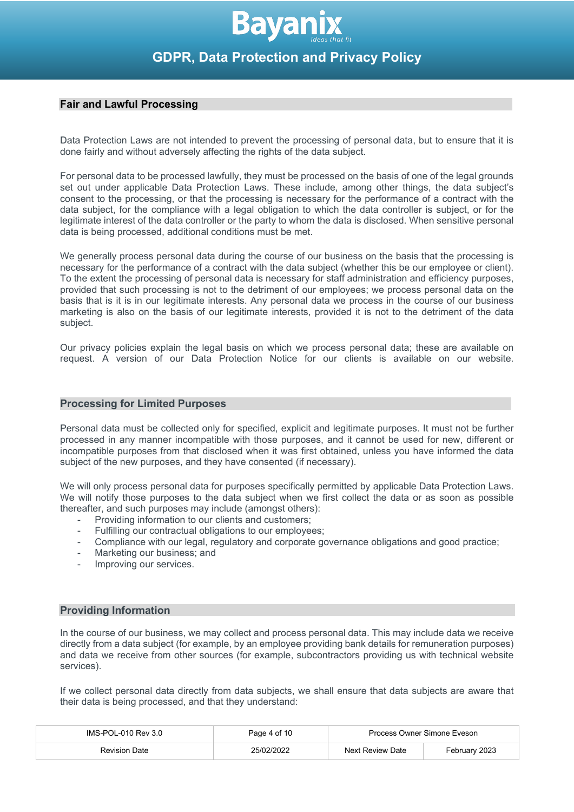# **Fair and Lawful Processing**

Data Protection Laws are not intended to prevent the processing of personal data, but to ensure that it is done fairly and without adversely affecting the rights of the data subject.

For personal data to be processed lawfully, they must be processed on the basis of one of the legal grounds set out under applicable Data Protection Laws. These include, among other things, the data subject's consent to the processing, or that the processing is necessary for the performance of a contract with the data subject, for the compliance with a legal obligation to which the data controller is subject, or for the legitimate interest of the data controller or the party to whom the data is disclosed. When sensitive personal data is being processed, additional conditions must be met.

We generally process personal data during the course of our business on the basis that the processing is necessary for the performance of a contract with the data subject (whether this be our employee or client). To the extent the processing of personal data is necessary for staff administration and efficiency purposes, provided that such processing is not to the detriment of our employees; we process personal data on the basis that is it is in our legitimate interests. Any personal data we process in the course of our business marketing is also on the basis of our legitimate interests, provided it is not to the detriment of the data subject.

Our privacy policies explain the legal basis on which we process personal data; these are available on request. A version of our Data Protection Notice for our clients is available on our website.

#### **Processing for Limited Purposes**

Personal data must be collected only for specified, explicit and legitimate purposes. It must not be further processed in any manner incompatible with those purposes, and it cannot be used for new, different or incompatible purposes from that disclosed when it was first obtained, unless you have informed the data subject of the new purposes, and they have consented (if necessary).

We will only process personal data for purposes specifically permitted by applicable Data Protection Laws. We will notify those purposes to the data subject when we first collect the data or as soon as possible thereafter, and such purposes may include (amongst others):

- Providing information to our clients and customers;
- Fulfilling our contractual obligations to our employees;
- Compliance with our legal, regulatory and corporate governance obligations and good practice;
- Marketing our business; and
- Improving our services.

### **Providing Information**

In the course of our business, we may collect and process personal data. This may include data we receive directly from a data subject (for example, by an employee providing bank details for remuneration purposes) and data we receive from other sources (for example, subcontractors providing us with technical website services).

If we collect personal data directly from data subjects, we shall ensure that data subjects are aware that their data is being processed, and that they understand:

| IMS-POL-010 Rev 3.0  | Page 4 of 10 | Process Owner Simone Eveson |               |
|----------------------|--------------|-----------------------------|---------------|
| <b>Revision Date</b> | 25/02/2022   | Next Review Date            | February 2023 |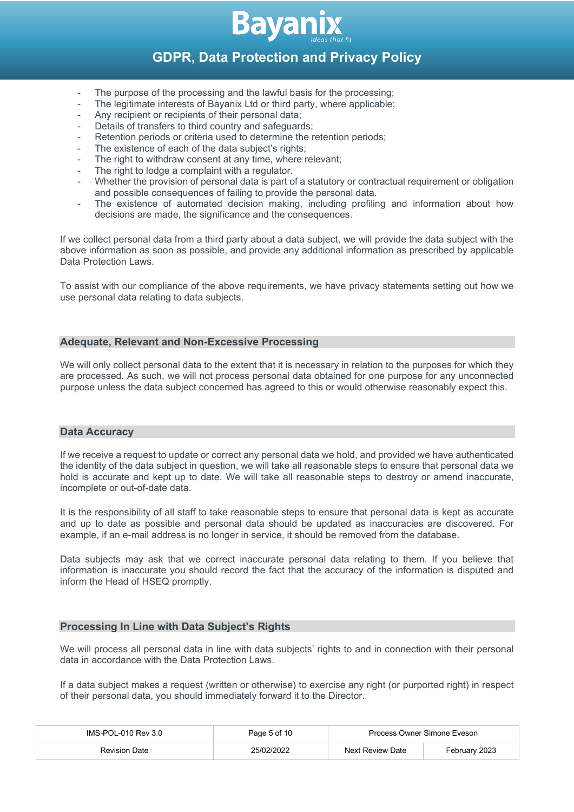

- The purpose of the processing and the lawful basis for the processing;
- The legitimate interests of Bayanix Ltd or third party, where applicable;
- Any recipient or recipients of their personal data;
- Details of transfers to third country and safeguards;
- Retention periods or criteria used to determine the retention periods;
- The existence of each of the data subject's rights;
- The right to withdraw consent at any time, where relevant;
- The right to lodge a complaint with a regulator.
- Whether the provision of personal data is part of a statutory or contractual requirement or obligation and possible consequences of failing to provide the personal data.
- The existence of automated decision making, including profiling and information about how decisions are made, the significance and the consequences.

If we collect personal data from a third party about a data subject, we will provide the data subject with the above information as soon as possible, and provide any additional information as prescribed by applicable Data Protection Laws.

To assist with our compliance of the above requirements, we have privacy statements setting out how we use personal data relating to data subjects.

# **Adequate, Relevant and Non-Excessive Processing**

We will only collect personal data to the extent that it is necessary in relation to the purposes for which they are processed. As such, we will not process personal data obtained for one purpose for any unconnected purpose unless the data subject concerned has agreed to this or would otherwise reasonably expect this.

#### **Data Accuracy**

If we receive a request to update or correct any personal data we hold, and provided we have authenticated the identity of the data subject in question, we will take all reasonable steps to ensure that personal data we hold is accurate and kept up to date. We will take all reasonable steps to destroy or amend inaccurate, incomplete or out-of-date data.

It is the responsibility of all staff to take reasonable steps to ensure that personal data is kept as accurate and up to date as possible and personal data should be updated as inaccuracies are discovered. For example, if an e-mail address is no longer in service, it should be removed from the database.

Data subjects may ask that we correct inaccurate personal data relating to them. If you believe that information is inaccurate you should record the fact that the accuracy of the information is disputed and inform the Head of HSEQ promptly.

# **Processing In Line with Data Subject's Rights**

We will process all personal data in line with data subjects' rights to and in connection with their personal data in accordance with the Data Protection Laws.

If a data subject makes a request (written or otherwise) to exercise any right (or purported right) in respect of their personal data, you should immediately forward it to the Director.

| IMS-POL-010 Rev 3.0  | Page 5 of 10 | Process Owner Simone Eveson |               |
|----------------------|--------------|-----------------------------|---------------|
| <b>Revision Date</b> | 25/02/2022   | Next Review Date            | February 2023 |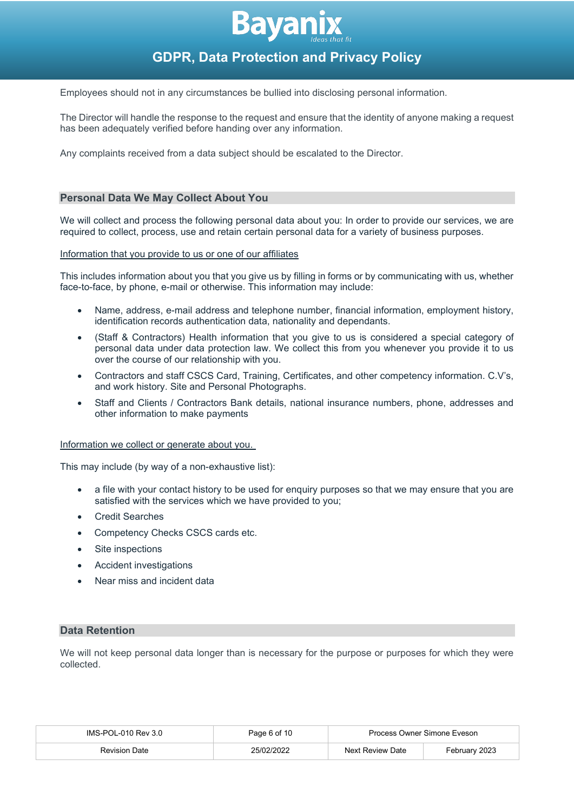

Employees should not in any circumstances be bullied into disclosing personal information.

The Director will handle the response to the request and ensure that the identity of anyone making a request has been adequately verified before handing over any information.

Any complaints received from a data subject should be escalated to the Director.

#### **Personal Data We May Collect About You**

We will collect and process the following personal data about you: In order to provide our services, we are required to collect, process, use and retain certain personal data for a variety of business purposes.

#### Information that you provide to us or one of our affiliates

This includes information about you that you give us by filling in forms or by communicating with us, whether face-to-face, by phone, e-mail or otherwise. This information may include:

- Name, address, e-mail address and telephone number, financial information, employment history, identification records authentication data, nationality and dependants.
- (Staff & Contractors) Health information that you give to us is considered a special category of personal data under data protection law. We collect this from you whenever you provide it to us over the course of our relationship with you.
- Contractors and staff CSCS Card, Training, Certificates, and other competency information. C.V's, and work history. Site and Personal Photographs.
- Staff and Clients / Contractors Bank details, national insurance numbers, phone, addresses and other information to make payments

#### Information we collect or generate about you.

This may include (by way of a non-exhaustive list):

- a file with your contact history to be used for enquiry purposes so that we may ensure that you are satisfied with the services which we have provided to you;
- Credit Searches
- Competency Checks CSCS cards etc.
- Site inspections
- Accident investigations
- Near miss and incident data

### **Data Retention**

We will not keep personal data longer than is necessary for the purpose or purposes for which they were collected.

| IMS-POL-010 Rev 3.0  | Page 6 of 10 | Process Owner Simone Eveson |               |
|----------------------|--------------|-----------------------------|---------------|
| <b>Revision Date</b> | 25/02/2022   | Next Review Date            | February 2023 |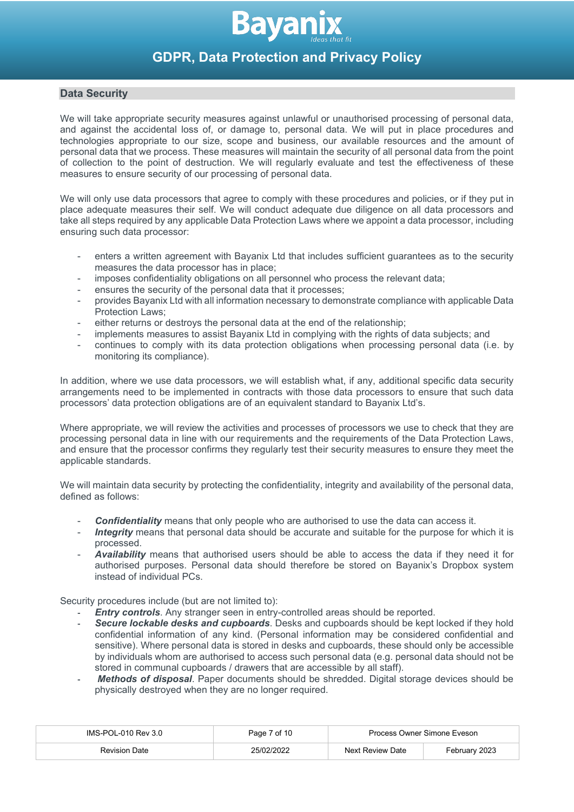

# **Data Security**

We will take appropriate security measures against unlawful or unauthorised processing of personal data, and against the accidental loss of, or damage to, personal data. We will put in place procedures and technologies appropriate to our size, scope and business, our available resources and the amount of personal data that we process. These measures will maintain the security of all personal data from the point of collection to the point of destruction. We will regularly evaluate and test the effectiveness of these measures to ensure security of our processing of personal data.

We will only use data processors that agree to comply with these procedures and policies, or if they put in place adequate measures their self. We will conduct adequate due diligence on all data processors and take all steps required by any applicable Data Protection Laws where we appoint a data processor, including ensuring such data processor:

- enters a written agreement with Bayanix Ltd that includes sufficient guarantees as to the security measures the data processor has in place;
- imposes confidentiality obligations on all personnel who process the relevant data;
- ensures the security of the personal data that it processes;
- provides Bayanix Ltd with all information necessary to demonstrate compliance with applicable Data Protection Laws;
- either returns or destroys the personal data at the end of the relationship;
- implements measures to assist Bayanix Ltd in complying with the rights of data subjects; and
- continues to comply with its data protection obligations when processing personal data (i.e. by monitoring its compliance).

In addition, where we use data processors, we will establish what, if any, additional specific data security arrangements need to be implemented in contracts with those data processors to ensure that such data processors' data protection obligations are of an equivalent standard to Bayanix Ltd's.

Where appropriate, we will review the activities and processes of processors we use to check that they are processing personal data in line with our requirements and the requirements of the Data Protection Laws, and ensure that the processor confirms they regularly test their security measures to ensure they meet the applicable standards.

We will maintain data security by protecting the confidentiality, integrity and availability of the personal data, defined as follows:

- **Confidentiality** means that only people who are authorised to use the data can access it.
- Integrity means that personal data should be accurate and suitable for the purpose for which it is processed.
- *Availability* means that authorised users should be able to access the data if they need it for authorised purposes. Personal data should therefore be stored on Bayanix's Dropbox system instead of individual PCs.

Security procedures include (but are not limited to):

- *Entry controls*. Any stranger seen in entry-controlled areas should be reported.
- *Secure lockable desks and cupboards*. Desks and cupboards should be kept locked if they hold confidential information of any kind. (Personal information may be considered confidential and sensitive). Where personal data is stored in desks and cupboards, these should only be accessible by individuals whom are authorised to access such personal data (e.g. personal data should not be stored in communal cupboards / drawers that are accessible by all staff).
- *Methods of disposal*. Paper documents should be shredded. Digital storage devices should be physically destroyed when they are no longer required.

| IMS-POL-010 Rev 3.0  | Page 7 of 10 | Process Owner Simone Eveson |               |
|----------------------|--------------|-----------------------------|---------------|
| <b>Revision Date</b> | 25/02/2022   | Next Review Date            | February 2023 |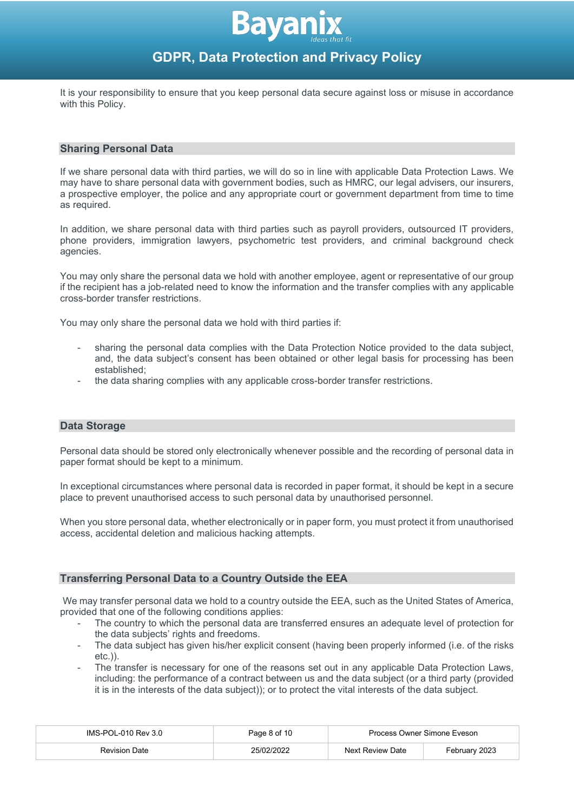

It is your responsibility to ensure that you keep personal data secure against loss or misuse in accordance with this Policy.

#### **Sharing Personal Data**

If we share personal data with third parties, we will do so in line with applicable Data Protection Laws. We may have to share personal data with government bodies, such as HMRC, our legal advisers, our insurers, a prospective employer, the police and any appropriate court or government department from time to time as required.

In addition, we share personal data with third parties such as payroll providers, outsourced IT providers, phone providers, immigration lawyers, psychometric test providers, and criminal background check agencies.

You may only share the personal data we hold with another employee, agent or representative of our group if the recipient has a job-related need to know the information and the transfer complies with any applicable cross-border transfer restrictions.

You may only share the personal data we hold with third parties if:

- sharing the personal data complies with the Data Protection Notice provided to the data subject, and, the data subject's consent has been obtained or other legal basis for processing has been established;
- the data sharing complies with any applicable cross-border transfer restrictions.

#### **Data Storage**

Personal data should be stored only electronically whenever possible and the recording of personal data in paper format should be kept to a minimum.

In exceptional circumstances where personal data is recorded in paper format, it should be kept in a secure place to prevent unauthorised access to such personal data by unauthorised personnel.

When you store personal data, whether electronically or in paper form, you must protect it from unauthorised access, accidental deletion and malicious hacking attempts.

# **Transferring Personal Data to a Country Outside the EEA**

We may transfer personal data we hold to a country outside the EEA, such as the United States of America, provided that one of the following conditions applies:

- The country to which the personal data are transferred ensures an adequate level of protection for the data subjects' rights and freedoms.
- The data subject has given his/her explicit consent (having been properly informed (i.e. of the risks etc.)).
- The transfer is necessary for one of the reasons set out in any applicable Data Protection Laws, including: the performance of a contract between us and the data subject (or a third party (provided it is in the interests of the data subject)); or to protect the vital interests of the data subject.

| IMS-POL-010 Rev 3.0  | Page 8 of 10 | Process Owner Simone Eveson |               |
|----------------------|--------------|-----------------------------|---------------|
| <b>Revision Date</b> | 25/02/2022   | Next Review Date            | Februarv 2023 |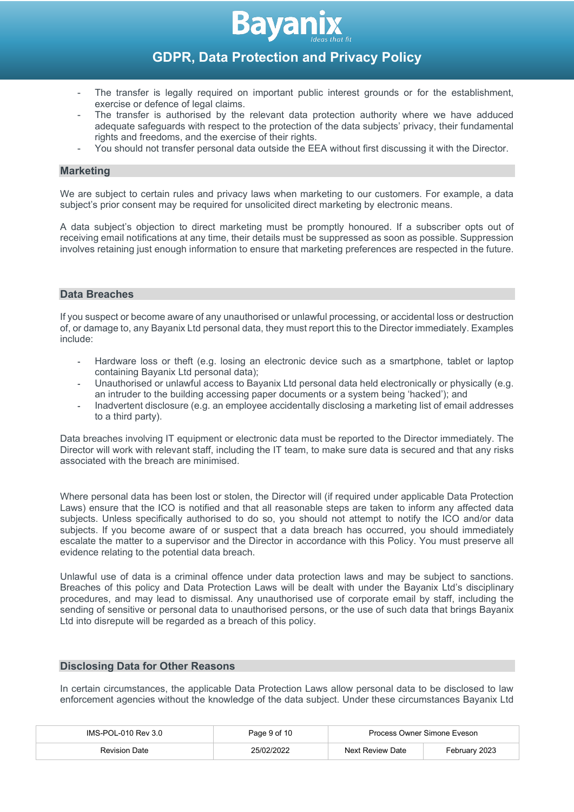

- The transfer is legally required on important public interest grounds or for the establishment, exercise or defence of legal claims.
- The transfer is authorised by the relevant data protection authority where we have adduced adequate safeguards with respect to the protection of the data subjects' privacy, their fundamental rights and freedoms, and the exercise of their rights.
- You should not transfer personal data outside the EEA without first discussing it with the Director.

### **Marketing**

We are subject to certain rules and privacy laws when marketing to our customers. For example, a data subject's prior consent may be required for unsolicited direct marketing by electronic means.

A data subject's objection to direct marketing must be promptly honoured. If a subscriber opts out of receiving email notifications at any time, their details must be suppressed as soon as possible. Suppression involves retaining just enough information to ensure that marketing preferences are respected in the future.

# **Data Breaches**

If you suspect or become aware of any unauthorised or unlawful processing, or accidental loss or destruction of, or damage to, any Bayanix Ltd personal data, they must report this to the Director immediately. Examples include:

- Hardware loss or theft (e.g. losing an electronic device such as a smartphone, tablet or laptop containing Bayanix Ltd personal data);
- Unauthorised or unlawful access to Bayanix Ltd personal data held electronically or physically (e.g. an intruder to the building accessing paper documents or a system being 'hacked'); and
- Inadvertent disclosure (e.g. an employee accidentally disclosing a marketing list of email addresses to a third party).

Data breaches involving IT equipment or electronic data must be reported to the Director immediately. The Director will work with relevant staff, including the IT team, to make sure data is secured and that any risks associated with the breach are minimised.

Where personal data has been lost or stolen, the Director will (if required under applicable Data Protection Laws) ensure that the ICO is notified and that all reasonable steps are taken to inform any affected data subjects. Unless specifically authorised to do so, you should not attempt to notify the ICO and/or data subjects. If you become aware of or suspect that a data breach has occurred, you should immediately escalate the matter to a supervisor and the Director in accordance with this Policy. You must preserve all evidence relating to the potential data breach.

Unlawful use of data is a criminal offence under data protection laws and may be subject to sanctions. Breaches of this policy and Data Protection Laws will be dealt with under the Bayanix Ltd's disciplinary procedures, and may lead to dismissal. Any unauthorised use of corporate email by staff, including the sending of sensitive or personal data to unauthorised persons, or the use of such data that brings Bayanix Ltd into disrepute will be regarded as a breach of this policy.

# **Disclosing Data for Other Reasons**

In certain circumstances, the applicable Data Protection Laws allow personal data to be disclosed to law enforcement agencies without the knowledge of the data subject. Under these circumstances Bayanix Ltd

| IMS-POL-010 Rev 3.0 | Page 9 of 10 | Process Owner Simone Eveson |               |
|---------------------|--------------|-----------------------------|---------------|
| Revision Date       | 25/02/2022   | Next Review Date            | Februarv 2023 |